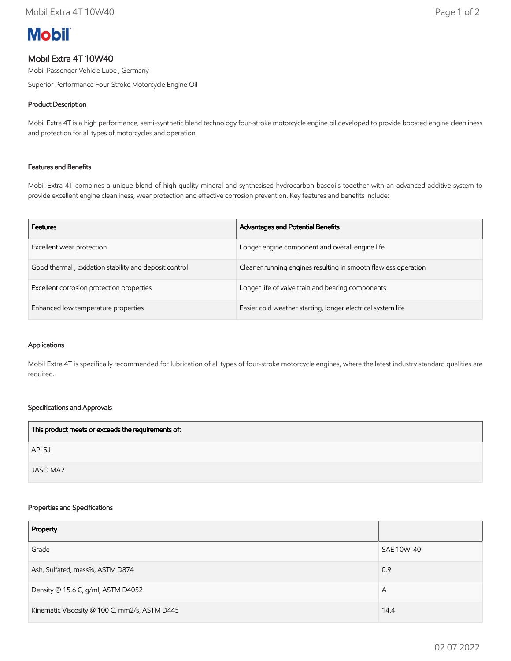# **Mobil**

# Mobil Extra 4T 10W40

Mobil Passenger Vehicle Lube , Germany

Superior Performance Four-Stroke Motorcycle Engine Oil

# Product Description

Mobil Extra 4T is a high performance, semi-synthetic blend technology four-stroke motorcycle engine oil developed to provide boosted engine cleanliness and protection for all types of motorcycles and operation.

## Features and Benefits

Mobil Extra 4T combines a unique blend of high quality mineral and synthesised hydrocarbon baseoils together with an advanced additive system to provide excellent engine cleanliness, wear protection and effective corrosion prevention. Key features and benefits include:

| <b>Features</b>                                       | <b>Advantages and Potential Benefits</b>                       |
|-------------------------------------------------------|----------------------------------------------------------------|
| Excellent wear protection                             | Longer engine component and overall engine life                |
| Good thermal, oxidation stability and deposit control | Cleaner running engines resulting in smooth flawless operation |
| Excellent corrosion protection properties             | Longer life of valve train and bearing components              |
| Enhanced low temperature properties                   | Easier cold weather starting, longer electrical system life    |

#### Applications

Mobil Extra 4T is specifically recommended for lubrication of all types of four-stroke motorcycle engines, where the latest industry standard qualities are required.

## Specifications and Approvals

| This product meets or exceeds the requirements of: |  |
|----------------------------------------------------|--|
| API SJ                                             |  |
| JASO MA2                                           |  |

#### Properties and Specifications

| Property                                      |            |
|-----------------------------------------------|------------|
| Grade                                         | SAE 10W-40 |
| Ash, Sulfated, mass%, ASTM D874               | 0.9        |
| Density @ 15.6 C, g/ml, ASTM D4052            | A          |
| Kinematic Viscosity @ 100 C, mm2/s, ASTM D445 | 14.4       |